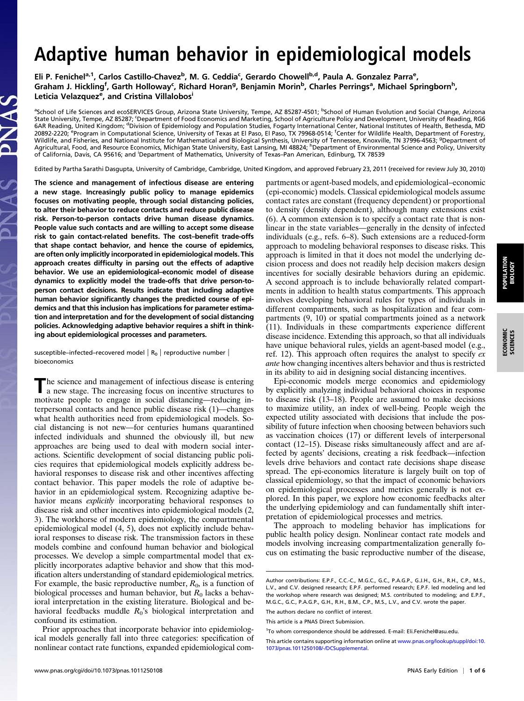## Adaptive human behavior in epidemiological models

Eli P. Fenichel<sup>a, 1</sup>, Carlos Castillo-Chavez<sup>b</sup>, M. G. Ceddia<sup>c</sup>, Gerardo Chowell<sup>b,d</sup>, Paula A. Gonzalez Parra<sup>e</sup>, Graham J. Hickling<sup>f</sup>, Garth Holloway<sup>c</sup>, Richard Horan<sup>g</sup>, Benjamin Morin<sup>b</sup>, Charles Perrings<sup>a</sup>, Michael Springborn<sup>h</sup>, Leticia Velazquez<sup>e</sup>, and Cristina Villalobos<sup>i</sup>

<sup>a</sup>School of Life Sciences and ecoSERVICES Group, Arizona State University, Tempe, AZ 85287-4501; <sup>b</sup>School of Human Evolution and Social Change, Arizona State University, Tempe, AZ 85287; 'Department of Food Economics and Marketing, School of Agriculture Policy and Development, University of Reading, RG6 6AR Reading, United Kingdom; <sup>d</sup>Division of Epidemiology and Population Studies, Fogarty International Center, National Institutes of Health, Bethesda, MD 20892-2220; <sup>e</sup>Program in Computational Science, University of Texas at El Paso, El Paso, TX 79968-0514; <sup>f</sup>Center for Wildlife Health, Department of Forestry, Wildlife, and Fisheries, and National Institute for Mathematical and Biological Synthesis, University of Tennessee, Knoxville, TN 37996-4563; <sup>g</sup>Department of<br>Agricultural, Food, and Resource Economics, Michigan State Univ of California, Davis, CA 95616; and <sup>i</sup>Department of Mathematics, University of Texas–Pan American, Edinburg, TX 78539

Edited by Partha Sarathi Dasgupta, University of Cambridge, Cambridge, United Kingdom, and approved February 23, 2011 (received for review July 30, 2010)

The science and management of infectious disease are entering a new stage. Increasingly public policy to manage epidemics focuses on motivating people, through social distancing policies, to alter their behavior to reduce contacts and reduce public disease risk. Person-to-person contacts drive human disease dynamics. People value such contacts and are willing to accept some disease risk to gain contact-related benefits. The cost–benefit trade-offs that shape contact behavior, and hence the course of epidemics, are often only implicitly incorporated in epidemiological models. This approach creates difficulty in parsing out the effects of adaptive behavior. We use an epidemiological–economic model of disease dynamics to explicitly model the trade-offs that drive person-toperson contact decisions. Results indicate that including adaptive human behavior significantly changes the predicted course of epidemics and that this inclusion has implications for parameter estimation and interpretation and for the development of social distancing policies. Acknowledging adaptive behavior requires a shift in thinking about epidemiological processes and parameters.

susceptible–infected–recovered model  $| R_0 |$  reproductive number  $| R_1 |$ bioeconomics

The science and management of infectious disease is entering a new stage. The increasing focus on incentive structures to motivate people to engage in social distancing—reducing interpersonal contacts and hence public disease risk (1)—changes what health authorities need from epidemiological models. Social distancing is not new—for centuries humans quarantined infected individuals and shunned the obviously ill, but new approaches are being used to deal with modern social interactions. Scientific development of social distancing public policies requires that epidemiological models explicitly address behavioral responses to disease risk and other incentives affecting contact behavior. This paper models the role of adaptive behavior in an epidemiological system. Recognizing adaptive behavior means explicitly incorporating behavioral responses to disease risk and other incentives into epidemiological models (2, 3). The workhorse of modern epidemiology, the compartmental epidemiological model (4, 5), does not explicitly include behavioral responses to disease risk. The transmission factors in these models combine and confound human behavior and biological processes. We develop a simple compartmental model that explicitly incorporates adaptive behavior and show that this modification alters understanding of standard epidemiological metrics. For example, the basic reproductive number,  $R_0$ , is a function of biological processes and human behavior, but  $R_0$  lacks a behavioral interpretation in the existing literature. Biological and behavioral feedbacks muddle  $R_0$ 's biological interpretation and confound its estimation.

Prior approaches that incorporate behavior into epidemiological models generally fall into three categories: specification of nonlinear contact rate functions, expanded epidemiological compartments or agent-based models, and epidemiological–economic (epi-economic) models. Classical epidemiological models assume contact rates are constant (frequency dependent) or proportional to density (density dependent), although many extensions exist (6). A common extension is to specify a contact rate that is nonlinear in the state variables—generally in the density of infected individuals (e.g., refs. 6–8). Such extensions are a reduced-form approach to modeling behavioral responses to disease risks. This approach is limited in that it does not model the underlying decision process and does not readily help decision makers design incentives for socially desirable behaviors during an epidemic. A second approach is to include behaviorally related compartments in addition to health status compartments. This approach involves developing behavioral rules for types of individuals in different compartments, such as hospitalization and fear compartments (9, 10) or spatial compartments joined as a network (11). Individuals in these compartments experience different disease incidence. Extending this approach, so that all individuals have unique behavioral rules, yields an agent-based model (e.g., ref. 12). This approach often requires the analyst to specify ex ante how changing incentives alters behavior and thus is restricted in its ability to aid in designing social distancing incentives.

Epi-economic models merge economics and epidemiology by explicitly analyzing individual behavioral choices in response to disease risk (13–18). People are assumed to make decisions to maximize utility, an index of well-being. People weigh the expected utility associated with decisions that include the possibility of future infection when choosing between behaviors such as vaccination choices (17) or different levels of interpersonal contact (12–15). Disease risks simultaneously affect and are affected by agents' decisions, creating a risk feedback—infection levels drive behaviors and contact rate decisions shape disease spread. The epi-economics literature is largely built on top of classical epidemiology, so that the impact of economic behaviors on epidemiological processes and metrics generally is not explored. In this paper, we explore how economic feedbacks alter the underlying epidemiology and can fundamentally shift interpretation of epidemiological processes and metrics.

The approach to modeling behavior has implications for public health policy design. Nonlinear contact rate models and models involving increasing compartmentalization generally focus on estimating the basic reproductive number of the disease,

Author contributions: E.P.F., C.C.-C., M.G.C., G.C., P.A.G.P., G.J.H., G.H., R.H., C.P., M.S., L.V., and C.V. designed research; E.P.F. performed research; E.P.F. led modeling and led the workshop where research was designed; M.S. contributed to modeling; and E.P.F., M.G.C., G.C., P.A.G.P., G.H., R.H., B.M., C.P., M.S., L.V., and C.V. wrote the paper.

The authors declare no conflict of interest.

This article is a PNAS Direct Submission.

<sup>&</sup>lt;sup>1</sup>To whom correspondence should be addressed. E-mail: [Eli.Fenichel@asu.edu](mailto:Eli.Fenichel@asu.edu).

This article contains supporting information online at [www.pnas.org/lookup/suppl/doi:10.](http://www.pnas.org/lookup/suppl/doi:10.1073/pnas.1011250108/-/DCSupplemental) [1073/pnas.1011250108/-/DCSupplemental](http://www.pnas.org/lookup/suppl/doi:10.1073/pnas.1011250108/-/DCSupplemental).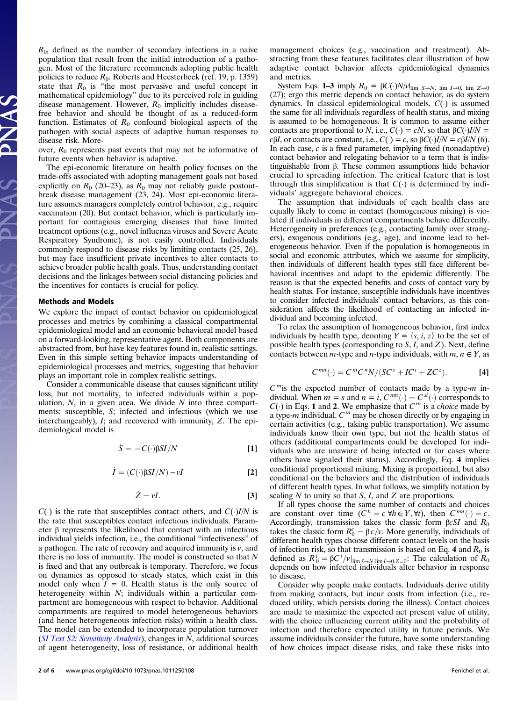$R_0$ , defined as the number of secondary infections in a naive population that result from the initial introduction of a pathogen. Most of the literature recommends adopting public health policies to reduce  $R_0$ . Roberts and Heesterbeek (ref. 19, p. 1359) state that  $R_0$  is "the most pervasive and useful concept in mathematical epidemiology" due to its perceived role in guiding disease management. However,  $R_0$  implicitly includes diseasefree behavior and should be thought of as a reduced-form function. Estimates of  $R_0$  confound biological aspects of the pathogen with social aspects of adaptive human responses to disease risk. More-

over,  $R_0$  represents past events that may not be informative of future events when behavior is adaptive.

The epi-economic literature on health policy focuses on the trade-offs associated with adopting management goals not based explicitly on  $R_0$  (20–23), as  $R_0$  may not reliably guide postoutbreak disease management (23, 24). Most epi-economic literature assumes managers completely control behavior, e.g., require vaccination (20). But contact behavior, which is particularly important for contagious emerging diseases that have limited treatment options (e.g., novel influenza viruses and Severe Acute Respiratory Syndrome), is not easily controlled. Individuals commonly respond to disease risks by limiting contacts (25, 26), but may face insufficient private incentives to alter contacts to achieve broader public health goals. Thus, understanding contact decisions and the linkages between social distancing policies and the incentives for contacts is crucial for policy.

## Methods and Models

We explore the impact of contact behavior on epidemiological processes and metrics by combining a classical compartmental epidemiological model and an economic behavioral model based on a forward-looking, representative agent. Both components are abstracted from, but have key features found in, realistic settings. Even in this simple setting behavior impacts understanding of epidemiological processes and metrics, suggesting that behavior plays an important role in complex realistic settings.

Consider a communicable disease that causes significant utility loss, but not mortality, to infected individuals within a population,  $N$ , in a given area. We divide  $N$  into three compartments: susceptible, S; infected and infectious (which we use interchangeably), I; and recovered with immunity, Z. The epidemiological model is

$$
\dot{S} = -C(\cdot)\beta SI/N
$$
 [1]

$$
\dot{I} = (C(\cdot)\beta SI/N) - vI
$$
 [2]

$$
\dot{Z} = vI. \tag{3}
$$

 $C(\cdot)$  is the rate that susceptibles contact others, and  $C(\cdot)I/N$  is the rate that susceptibles contact infectious individuals. Parameter  $\beta$  represents the likelihood that contact with an infectious individual yields infection, i.e., the conditional "infectiveness" of a pathogen. The rate of recovery and acquired immunity is  $v$ , and there is no loss of immunity. The model is constructed so that  $N$ is fixed and that any outbreak is temporary. Therefore, we focus on dynamics as opposed to steady states, which exist in this model only when  $I = 0$ . Health status is the only source of heterogeneity within N; individuals within a particular compartment are homogeneous with respect to behavior. Additional compartments are required to model heterogeneous behaviors (and hence heterogeneous infection risks) within a health class. The model can be extended to incorporate population turnover ([SI Text S2: Sensitivity Analysis](http://www.pnas.org/lookup/suppl/doi:10.1073/pnas.1011250108/-/DCSupplemental/pnas.201011250SI.pdf?targetid=nameddest=STXT)), changes in N, additional sources of agent heterogeneity, loss of resistance, or additional health

management choices (e.g., vaccination and treatment). Abstracting from these features facilitates clear illustration of how adaptive contact behavior affects epidemiological dynamics and metrics.

System Eqs. 1–3 imply  $R_0 = \beta C(\cdot)N/v|_{\text{lim }S\to N, \text{ lim }I\to 0, \text{ lim }Z\to 0}$ (27); ergo this metric depends on contact behavior, as do system dynamics. In classical epidemiological models,  $C(\cdot)$  is assumed the same for all individuals regardless of health status, and mixing is assumed to be homogeneous. It is common to assume either contacts are proportional to N, i.e.,  $C(\cdot) = cN$ , so that  $\beta C(\cdot)I/N =$ cβI, or contacts are constant, i.e.,  $C(\cdot) = c$ , so  $\beta C(\cdot) I/N = c\beta I/N$  (6). In each case,  $c$  is a fixed parameter, implying fixed (nonadaptive) contact behavior and relegating behavior to a term that is indistinguishable from β. These common assumptions hide behavior crucial to spreading infection. The critical feature that is lost through this simplification is that  $C(\cdot)$  is determined by individuals' aggregate behavioral choices.

The assumption that individuals of each health class are equally likely to come in contact (homogeneous mixing) is violated if individuals in different compartments behave differently. Heterogeneity in preferences (e.g., contacting family over strangers), exogenous conditions (e.g., age), and income lead to heterogeneous behavior. Even if the population is homogeneous in social and economic attributes, which we assume for simplicity, then individuals of different health types still face different behavioral incentives and adapt to the epidemic differently. The reason is that the expected benefits and costs of contact vary by health status. For instance, susceptible individuals have incentives to consider infected individuals' contact behaviors, as this consideration affects the likelihood of contacting an infected individual and becoming infected.

To relax the assumption of homogeneous behavior, first index individuals by health type, denoting  $Y = \{s, i, z\}$  to be the set of possible health types (corresponding to  $S$ ,  $I$ , and  $Z$ ). Next, define contacts between *m*-type and *n*-type individuals, with  $m, n \in Y$ , as

$$
C^{mn}(\cdot) = C^m C^n N / (SC^s + IC^i + ZC^z). \tag{4}
$$

 $C<sup>m</sup>$  is the expected number of contacts made by a type- $m$  individual. When  $m = s$  and  $n = i$ ,  $C^{mn}(\cdot) = C^{si}(\cdot)$  corresponds to  $C(\cdot)$  in Eqs. 1 and 2. We emphasize that  $C^m$  is a *choice* made by a type-m individual.  $C^m$  may be chosen directly or by engaging in certain activities (e.g., taking public transportation). We assume individuals know their own type, but not the health status of others (additional compartments could be developed for individuals who are unaware of being infected or for cases where others have signaled their status). Accordingly, Eq. 4 implies conditional proportional mixing. Mixing is proportional, but also conditional on the behaviors and the distribution of individuals of different health types. In what follows, we simplify notation by scaling  $N$  to unity so that  $S$ ,  $I$ , and  $Z$  are proportions.

If all types choose the same number of contacts and choices are constant over time  $(C^h = c \forall h \in Y, \forall t)$ , then  $C^{mn}(\cdot) = c$ . Accordingly, transmission takes the classic form  $\beta cSI$  and  $R_0$ takes the classic form  $R_0^c = \beta c/v$ . More generally, individuals of different health types choose different contact levels on the basis of infection risk, so that transmission is based on Eq. 4 and  $R_0$  is defined as  $R_0^i = \beta C^i/v|_{\lim S \to N, \lim I \to 0, Z=0}$ . The calculation of  $R_0$ depends on how infected individuals alter behavior in response to disease.

Consider why people make contacts. Individuals derive utility from making contacts, but incur costs from infection (i.e., reduced utility, which persists during the illness). Contact choices are made to maximize the expected net present value of utility, with the choice influencing current utility and the probability of infection and therefore expected utility in future periods. We assume individuals consider the future, have some understanding of how choices impact disease risks, and take these risks into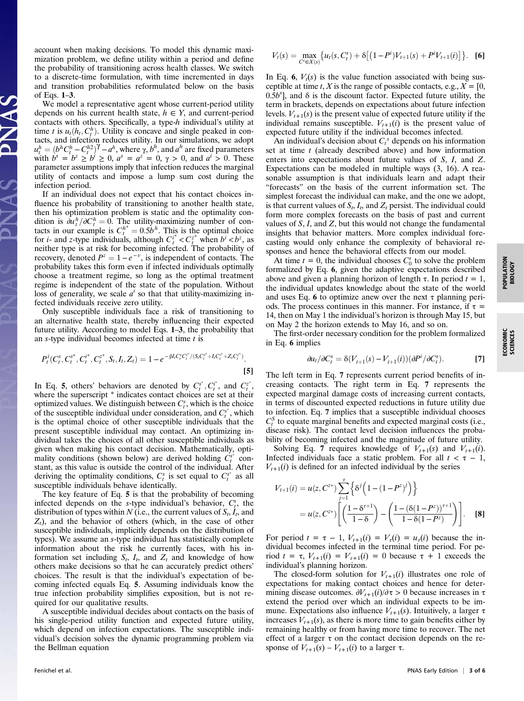account when making decisions. To model this dynamic maximization problem, we define utility within a period and define the probability of transitioning across health classes. We switch to a discrete-time formulation, with time incremented in days and transition probabilities reformulated below on the basis of Eqs. 1–3.

We model a representative agent whose current-period utility depends on his current health state,  $h \in Y$ , and current-period contacts with others. Specifically, a type-h individual's utility at time t is  $u_t(h_t, C_t^h)$ . Utility is concave and single peaked in contacts, and infection reduces utility. In our simulations, we adopt  $u_t^h = (b^h C_t^h - C_t^{h2})^{\gamma} - a^h$ , where  $\gamma$ ,  $b^h$ , and  $a^h$  are fixed parameters with  $b^s = b^z \ge b^i \ge 0$ ,  $a^s = a^z = 0$ ,  $\gamma > 0$ , and  $a^i > 0$ . These parameter assumptions imply that infection reduces the marginal utility of contacts and impose a lump sum cost during the infection period.

If an individual does not expect that his contact choices influence his probability of transitioning to another health state, then his optimization problem is static and the optimality condition is  $\frac{\partial u_t^h}{\partial C_t^h} = 0$ . The utility-maximizing number of contacts in our example is  $C_t^{h^*} = 0.5b^h$ . This is the optimal choice for *i*- and *z*-type individuals, although  $C_t^{i*} < C_t^{z*}$  when  $b^i < b^z$ , as neither type is at risk for becoming infected. The probability of recovery, denoted  $P^z = 1 - e^{-v}$ , is independent of contacts. The probability takes this form even if infected individuals optimally choose a treatment regime, so long as the optimal treatment regime is independent of the state of the population. Without loss of generality, we scale  $a<sup>t</sup>$  so that that utility-maximizing infected individuals receive zero utility.

Only susceptible individuals face a risk of transitioning to an alternative health state, thereby influencing their expected future utility. According to model Eqs. 1–3, the probability that an  $s$ -type individual becomes infected at time  $t$  is

$$
P_t^i(C_t^s, C_t^{s^*}, C_t^{i^*}, C_t^{z^*}, S_t, I_t, Z_t) = 1 - e^{-\beta I_t C_t^s C_t^{i^*}/(S_t C_t^{s^*} + I_t C_t^{i^*} + Z_t C_t^{z^*})}.
$$
\n<sup>[5]</sup>

In Eq. 5, others' behaviors are denoted by  $C_t^{s^*}, C_t^{i^*}$ , and  $C_t^{z^*}$ , where the superscript \* indicates contact choices are set at their optimized values. We distinguish between  $C_i^s$ , which is the choice of the susceptible individual under consideration, and  $C_t^s$ , which is the optimal choice of other susceptible individuals that the present susceptible individual may contact. An optimizing individual takes the choices of all other susceptible individuals as given when making his contact decision. Mathematically, optimality conditions (shown below) are derived holding  $C_t^{s^*}$  constant, as this value is outside the control of the individual. After deriving the optimality conditions,  $C_t^s$  is set equal to  $C_t^{s^*}$  as all susceptible individuals behave identically.

The key feature of Eq. 5 is that the probability of becoming infected depends on the s-type individual's behavior,  $C_t^s$ , the distribution of types within N (i.e., the current values of  $S_t$ ,  $I_t$ , and  $Z<sub>t</sub>$ ), and the behavior of others (which, in the case of other susceptible individuals, implicitly depends on the distribution of types). We assume an s-type individual has statistically complete information about the risk he currently faces, with his information set including  $S_t$ ,  $I_t$ , and  $Z_t$  and knowledge of how others make decisions so that he can accurately predict others' choices. The result is that the individual's expectation of becoming infected equals Eq. 5. Assuming individuals know the true infection probability simplifies exposition, but is not required for our qualitative results.

A susceptible individual decides about contacts on the basis of his single-period utility function and expected future utility, which depend on infection expectations. The susceptible individual's decision solves the dynamic programming problem via the Bellman equation

$$
V_t(s) = \max_{C^s \in X(s)} \{ u_t(s, C_t^s) + \delta \big[ (1 - P^i) V_{t+1}(s) + P^i V_{t+1}(i) \big] \}.
$$
 [6]

In Eq. 6,  $V_t(s)$  is the value function associated with being susceptible at time t, X is the range of possible contacts, e.g.,  $X = [0,$  $0.5b^s$ ], and  $\delta$  is the discount factor. Expected future utility, the term in brackets, depends on expectations about future infection levels.  $V_{t+1}(s)$  is the present value of expected future utility if the individual remains susceptible.  $V_{t+1}(i)$  is the present value of expected future utility if the individual becomes infected.

An individual's decision about  $C_t^s$  depends on his information set at time t (already described above) and how information enters into expectations about future values of S, I, and Z. Expectations can be modeled in multiple ways (3, 16). A reasonable assumption is that individuals learn and adapt their "forecasts" on the basis of the current information set. The simplest forecast the individual can make, and the one we adopt, is that current values of  $S_t$ ,  $I_t$ , and  $Z_t$  persist. The individual could form more complex forecasts on the basis of past and current values of  $S$ ,  $I$ , and  $Z$ , but this would not change the fundamental insights that behavior matters. More complex individual forecasting would only enhance the complexity of behavioral responses and hence the behavioral effects from our model.

At time  $t = 0$ , the individual chooses  $C_0^s$  to solve the problem formalized by Eq. 6, given the adaptive expectations described above and given a planning horizon of length  $\tau$ . In period  $t = 1$ , the individual updates knowledge about the state of the world and uses Eq. 6 to optimize anew over the next  $\tau$  planning periods. The process continues in this manner. For instance, if  $\tau =$ 14, then on May 1 the individual's horizon is through May 15, but on May 2 the horizon extends to May 16, and so on.

The first-order necessary condition for the problem formalized in Eq. 6 implies

$$
\frac{\partial u_t}{\partial C_t^s} = \delta(V_{t+1}(s) - V_{t+1}(i))(\frac{\partial P^i}{\partial C_t^s}).
$$
 [7]

The left term in Eq. 7 represents current period benefits of increasing contacts. The right term in Eq. 7 represents the expected marginal damage costs of increasing current contacts, in terms of discounted expected reductions in future utility due to infection. Eq. 7 implies that a susceptible individual chooses  $C_t^S$  to equate marginal benefits and expected marginal costs (i.e., disease risk). The contact level decision influences the probability of becoming infected and the magnitude of future utility.

Solving Eq. 7 requires knowledge of  $V_{t+1}(s)$  and  $V_{t+1}(i)$ . Infected individuals face a static problem. For all  $t < \tau - 1$ ,  $V_{t+1}(i)$  is defined for an infected individual by the series

$$
V_{t+1}(i) = u(z, C^{z*}) \sum_{j=1}^{\tau} \left\{ \delta^{j} \left( 1 - (1 - P^{z})^{j} \right) \right\}
$$
  
=  $u(z, C^{z*}) \left[ \left( \frac{1 - \delta^{t+1}}{1 - \delta} \right) - \left( \frac{1 - (\delta(1 - P^{z}))^{t+1}}{1 - \delta(1 - P^{z})} \right) \right].$  [8]

For period  $t = \tau - 1$ ,  $V_{t+1}(i) = V_{\tau}(i) = u_{\tau}(i)$  because the individual becomes infected in the terminal time period. For period  $t = \tau$ ,  $V_{t+1}(i) = V_{\tau+1}(i) = 0$  because  $\tau + 1$  exceeds the individual's planning horizon.

The closed-form solution for  $V_{t+1}(i)$  illustrates one role of expectations for making contact choices and hence for determining disease outcomes.  $\partial V_{t+1}(i)/\partial \tau > 0$  because increases in  $\tau$ extend the period over which an individual expects to be immune. Expectations also influence  $V_{t+1}(s)$ . Intuitively, a larger  $\tau$ increases  $V_{t+1}(s)$ , as there is more time to gain benefits either by remaining healthy or from having more time to recover. The net effect of a larger  $\tau$  on the contact decision depends on the response of  $V_{t+1}(s) - V_{t+1}(i)$  to a larger  $\tau$ .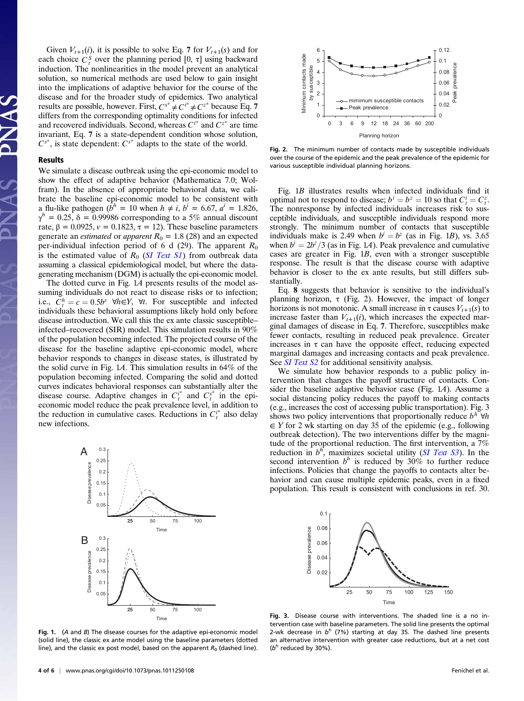Given  $V_{t+1}(i)$ , it is possible to solve Eq. 7 for  $V_{t+1}(s)$  and for each choice  $\overline{C}_t^S$  over the planning period  $[0, \tau]$  using backward induction. The nonlinearities in the model prevent an analytical solution, so numerical methods are used below to gain insight into the implications of adaptive behavior for the course of the disease and for the broader study of epidemics. Two analytical results are possible, however. First,  $C^{s^*} \neq C^{i^*} \neq C^{z^*}$  because Eq. 7 differs from the corresponding optimality conditions for infected and recovered individuals. Second, whereas  $C^{i*}$  and  $C^{z*}$  are time invariant, Eq. 7 is a state-dependent condition whose solution,  $C^{s^*}$ , is state dependent:  $C^{s^*}$  adapts to the state of the world.

## Results

We simulate a disease outbreak using the epi-economic model to show the effect of adaptive behavior (Mathematica 7.0; Wolfram). In the absence of appropriate behavioral data, we calibrate the baseline epi-economic model to be consistent with a flu-like pathogen ( $b^h = 10$  when  $h \neq i$ ,  $b^i = 6.67$ ,  $a^i = 1.826$ ,  $\gamma^h = 0.25$ ,  $\delta = 0.99986$  corresponding to a 5% annual discount rate,  $β = 0.0925$ ,  $ν = 0.1823$ ,  $τ = 12$ ). These baseline parameters generate an *estimated* or *apparent*  $R_0 = 1.8$  (28) and an expected per-individual infection period of 6 d (29). The apparent  $R_0$ is the estimated value of  $R_0$  ([SI Text S1](http://www.pnas.org/lookup/suppl/doi:10.1073/pnas.1011250108/-/DCSupplemental/pnas.201011250SI.pdf?targetid=nameddest=STXT)) from outbreak data assuming a classical epidemiological model, but where the datagenerating mechanism (DGM) is actually the epi-economic model.

The dotted curve in Fig. 1A presents results of the model assuming individuals do not react to disease risks or to infection; i.e.,  $C_t^h = c = 0.5b^s$   $\forall h \in Y$ ,  $\forall t$ . For susceptible and infected individuals these behavioral assumptions likely hold only before disease introduction. We call this the ex ante classic susceptible– infected–recovered (SIR) model. This simulation results in 90% of the population becoming infected. The projected course of the disease for the baseline adaptive epi-economic model, where behavior responds to changes in disease states, is illustrated by the solid curve in Fig. 1A. This simulation results in 64% of the population becoming infected. Comparing the solid and dotted curves indicates behavioral responses can substantially alter the disease course. Adaptive changes in  $C_t^{i*}$  and  $C_t^{s*}$  in the epieconomic model reduce the peak prevalence level, in addition to the reduction in cumulative cases. Reductions in  $C_t^{i*}$  also delay new infections.





Fig. 2. The minimum number of contacts made by susceptible individuals over the course of the epidemic and the peak prevalence of the epidemic for various susceptible individual planning horizons.

Fig. 1B illustrates results when infected individuals find it optimal not to respond to disease;  $b^i = b^z = 10$  so that  $C_t^i = C_t^z$ . The nonresponse by infected individuals increases risk to susceptible individuals, and susceptible individuals respond more strongly. The minimum number of contacts that susceptible individuals make is 2.49 when  $b^i = b^z$  (as in Fig. 1B), vs. 3.65 when  $b^i = 2b^2/3$  (as in Fig. 1A). Peak prevalence and cumulative cases are greater in Fig. 1B, even with a stronger susceptible response. The result is that the disease course with adaptive behavior is closer to the ex ante results, but still differs substantially.

Eq. 8 suggests that behavior is sensitive to the individual's planning horizon,  $\tau$  (Fig. 2). However, the impact of longer horizons is not monotonic. A small increase in  $\tau$  causes  $V_{t+1}(s)$  to increase faster than  $V_{t+1}(i)$ , which increases the expected marginal damages of disease in Eq. 7. Therefore, susceptibles make fewer contacts, resulting in reduced peak prevalence. Greater increases in  $\tau$  can have the opposite effect, reducing expected marginal damages and increasing contacts and peak prevalence. See *[SI Text S2](http://www.pnas.org/lookup/suppl/doi:10.1073/pnas.1011250108/-/DCSupplemental/pnas.201011250SI.pdf?targetid=nameddest=STXT)* for additional sensitivity analysis.

We simulate how behavior responds to a public policy intervention that changes the payoff structure of contacts. Consider the baseline adaptive behavior case (Fig. 1A). Assume a social distancing policy reduces the payoff to making contacts (e.g., increases the cost of accessing public transportation). Fig. 3 shows two policy interventions that proportionally reduce  $b^h \forall h$  $\in$  Y for 2 wk starting on day 35 of the epidemic (e.g., following outbreak detection). The two interventions differ by the magnitude of the proportional reduction. The first intervention, a 7% reduction in  $b^h$ , maximizes societal utility ([SI Text S3](http://www.pnas.org/lookup/suppl/doi:10.1073/pnas.1011250108/-/DCSupplemental/pnas.201011250SI.pdf?targetid=nameddest=STXT)). In the second intervention  $b^h$  is reduced by  $30\%$  to further reduce infections. Policies that change the payoffs to contacts alter behavior and can cause multiple epidemic peaks, even in a fixed population. This result is consistent with conclusions in ref. 30.



Fig. 1. (A and B) The disease courses for the adaptive epi-economic model (solid line), the classic ex ante model using the baseline parameters (dotted line), and the classic ex post model, based on the apparent  $R_0$  (dashed line).

Fig. 3. Disease course with interventions. The shaded line is a no intervention case with baseline parameters. The solid line presents the optimal 2-wk decrease in  $b^h$  (7%) starting at day 35. The dashed line presents an alternative intervention with greater case reductions, but at a net cost  $(b<sup>n</sup>$  reduced by 30%).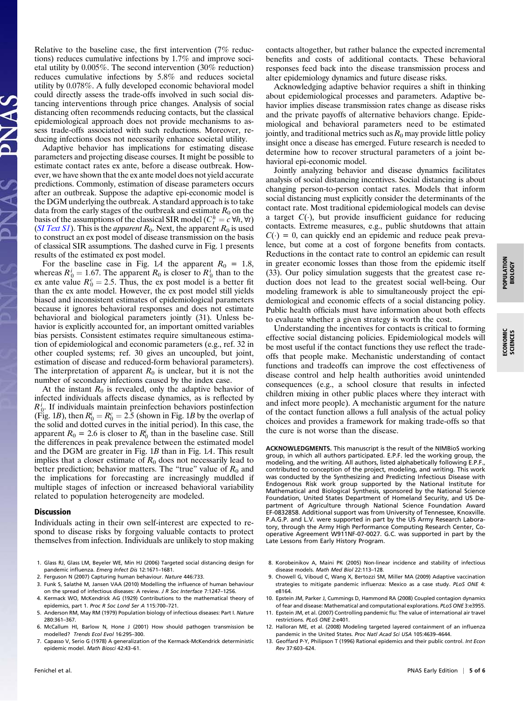Relative to the baseline case, the first intervention (7% reductions) reduces cumulative infections by 1.7% and improve societal utility by 0.005%. The second intervention (30% reduction) reduces cumulative infections by 5.8% and reduces societal utility by 0.078%. A fully developed economic behavioral model could directly assess the trade-offs involved in such social distancing interventions through price changes. Analysis of social distancing often recommends reducing contacts, but the classical epidemiological approach does not provide mechanisms to assess trade-offs associated with such reductions. Moreover, reducing infections does not necessarily enhance societal utility.

Adaptive behavior has implications for estimating disease parameters and projecting disease courses. It might be possible to estimate contact rates ex ante, before a disease outbreak. However, we have shown that the ex ante model does not yield accurate predictions. Commonly, estimation of disease parameters occurs after an outbreak. Suppose the adaptive epi-economic model is the DGM underlying the outbreak. A standard approach is to take data from the early stages of the outbreak and estimate  $R_0$  on the basis of the assumptions of the classical SIR model  $(C_t^h = c \forall h, \forall t)$ ([SI Text S1](http://www.pnas.org/lookup/suppl/doi:10.1073/pnas.1011250108/-/DCSupplemental/pnas.201011250SI.pdf?targetid=nameddest=STXT)). This is the apparent  $R_0$ . Next, the apparent  $R_0$  is used to construct an ex post model of disease transmission on the basis of classical SIR assumptions. The dashed curve in Fig. 1 presents results of the estimated ex post model.

For the baseline case in Fig. 1A the apparent  $R_0 = 1.8$ , whereas  $R_0^i = 1.67$ . The apparent  $R_0$  is closer to  $R_0^i$  than to the ex ante value  $R_0^c = 2.5$ . Thus, the ex post model is a better fit than the ex ante model. However, the ex post model still yields biased and inconsistent estimates of epidemiological parameters because it ignores behavioral responses and does not estimate behavioral and biological parameters jointly (31). Unless behavior is explicitly accounted for, an important omitted variables bias persists. Consistent estimates require simultaneous estimation of epidemiological and economic parameters (e.g., ref. 32 in other coupled systems; ref. 30 gives an uncoupled, but joint, estimation of disease and reduced-form behavioral parameters). The interpretation of apparent  $R_0$  is unclear, but it is not the number of secondary infections caused by the index case.

At the instant  $R_0$  is revealed, only the adaptive behavior of infected individuals affects disease dynamics, as is reflected by  $R_0^i$ . If individuals maintain preinfection behaviors postinfection (Fig. 1*B*), then  $R_0^i = R_0^c = 2.5$  (shown in Fig. 1*B* by the overlap of the solid and dotted curves in the initial period). In this case, the apparent  $R_0 = 2.6$  is closer to  $R_0^i$  than in the baseline case. Still the differences in peak prevalence between the estimated model and the DGM are greater in Fig. 1B than in Fig. 1A. This result implies that a closer estimate of  $R_0$  does not necessarily lead to better prediction; behavior matters. The "true" value of  $R_0$  and the implications for forecasting are increasingly muddled if multiple stages of infection or increased behavioral variability related to population heterogeneity are modeled.

## **Discussion**

Individuals acting in their own self-interest are expected to respond to disease risks by forgoing valuable contacts to protect themselves from infection. Individuals are unlikely to stop making

- 1. Glass RJ, Glass LM, Beyeler WE, Min HJ (2006) Targeted social distancing design for pandemic influenza. Emerg Infect Dis 12:1671–1681.
- 2. Ferguson N (2007) Capturing human behaviour. Nature 446:733.
- 3. Funk S, Salathé M, Jansen VAA (2010) Modelling the influence of human behaviour on the spread of infectious diseases: A review. J R Soc Interface 7:1247–1256.
- 4. Kermack WO, McKendrick AG (1929) Contributions to the mathematical theory of epidemics, part 1. Proc R Soc Lond Ser A 115:700–721.
- 5. Anderson RM, May RM (1979) Population biology of infectious diseases: Part I. Nature 280:361–367.
- 6. McCallum HI, Barlow N, Hone J (2001) How should pathogen transmission be modelled? Trends Ecol Evol 16:295–300.
- 7. Capasso V, Serio G (1978) A generalization of the Kermack-McKendrick deterministic epidemic model. Math Biosci 42:43–61.

contacts altogether, but rather balance the expected incremental benefits and costs of additional contacts. These behavioral responses feed back into the disease transmission process and alter epidemiology dynamics and future disease risks.

Acknowledging adaptive behavior requires a shift in thinking about epidemiological processes and parameters. Adaptive behavior implies disease transmission rates change as disease risks and the private payoffs of alternative behaviors change. Epidemiological and behavioral parameters need to be estimated jointly, and traditional metrics such as  $R_0$  may provide little policy insight once a disease has emerged. Future research is needed to determine how to recover structural parameters of a joint behavioral epi-economic model.

Jointly analyzing behavior and disease dynamics facilitates analysis of social distancing incentives. Social distancing is about changing person-to-person contact rates. Models that inform social distancing must explicitly consider the determinants of the contact rate. Most traditional epidemiological models can devise a target  $C(\cdot)$ , but provide insufficient guidance for reducing contacts. Extreme measures, e.g., public shutdowns that attain  $C(\cdot) = 0$ , can quickly end an epidemic and reduce peak prevalence, but come at a cost of forgone benefits from contacts. Reductions in the contact rate to control an epidemic can result in greater economic losses than those from the epidemic itself (33). Our policy simulation suggests that the greatest case reduction does not lead to the greatest social well-being. Our modeling framework is able to simultaneously project the epidemiological and economic effects of a social distancing policy. Public health officials must have information about both effects to evaluate whether a given strategy is worth the cost.

Understanding the incentives for contacts is critical to forming effective social distancing policies. Epidemiological models will be most useful if the contact functions they use reflect the tradeoffs that people make. Mechanistic understanding of contact functions and tradeoffs can improve the cost effectiveness of disease control and help health authorities avoid unintended consequences (e.g., a school closure that results in infected children mixing in other public places where they interact with and infect more people). A mechanistic argument for the nature of the contact function allows a full analysis of the actual policy choices and provides a framework for making trade-offs so that the cure is not worse than the disease.

ACKNOWLEDGMENTS. This manuscript is the result of the NIMBioS working group, in which all authors participated. E.P.F. led the working group, the modeling, and the writing. All authors, listed alphabetically following E.P.F., contributed to conception of the project, modeling, and writing. This work was conducted by the Synthesizing and Predicting Infectious Disease with Endogenous Risk work group supported by the National Institute for Mathematical and Biological Synthesis, sponsored by the National Science Foundation, United States Department of Homeland Security, and US Department of Agriculture through National Science Foundation Award EF-0832858. Additional support was from University of Tennessee, Knoxville. P.A.G.P. and L.V. were supported in part by the US Army Research Laboratory, through the Army High Performance Computing Research Center, Cooperative Agreement W911NF-07-0027. G.C. was supported in part by the Late Lessons from Early History Program.

- 8. Korobeinikov A, Maini PK (2005) Non-linear incidence and stability of infectious disease models. Math Med Biol 22:113–128.
- 9. Chowell G, Viboud C, Wang X, Bertozzi SM, Miller MA (2009) Adaptive vaccination strategies to mitigate pandemic influenza: Mexico as a case study. PLoS ONE 4: e8164.
- 10. Epstein JM, Parker J, Cummings D, Hammond RA (2008) Coupled contagion dynamics of fear and disease: Mathematical and computational explorations. PLoS ONE 3:e3955.
- 11. Epstein JM, et al. (2007) Controlling pandemic flu: The value of international air travel restrictions. PLoS ONE 2:e401.
- 12. Halloran ME, et al. (2008) Modeling targeted layered containment of an influenza pandemic in the United States. Proc Natl Acad Sci USA 105:4639–4644.
- 13. Geoffard P-Y, Philipson T (1996) Rational epidemics and their public control. Int Econ Rev 37:603–624.